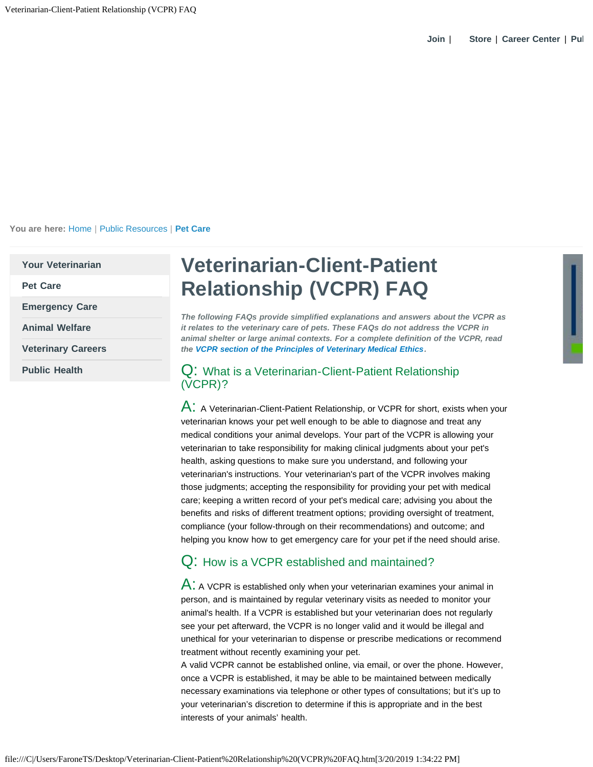**You are here:** [Home](https://www.avma.org/Pages/home.aspx) | [Public Resources](https://www.avma.org/public/Pages/default.aspx) | **[Pet Care](https://www.avma.org/public/PetCare/Pages/default.aspx)**

**[Your Veterinarian](https://www.avma.org/public/yourvet/pages/default.aspx)**

**[Pet Care](https://www.avma.org/public/petcare/pages/default.aspx)**

**[Emergency Care](https://www.avma.org/public/emergencycare/pages/default.aspx)**

**[Animal Welfare](https://www.avma.org/public/animalwelfare/pages/default.aspx)**

**[Veterinary Careers](https://www.avma.org/public/careers/pages/careers.aspx)**

**[Public Health](https://www.avma.org/public/health/pages/default.aspx)**

# **Veterinarian-Client-Patient Relationship (VCPR) FAQ**

*The following FAQs provide simplified explanations and answers about the VCPR as it relates to the veterinary care of pets. These FAQs do not address the VCPR in animal shelter or large animal contexts. For a complete definition of the VCPR, read the [VCPR section of the Principles of Veterinary Medical Ethics](https://www.avma.org/KB/Policies/Pages/Principles-of-Veterinary-Medical-Ethics-of-the-AVMA.aspx#III).*

#### Q: What is a Veterinarian-Client-Patient Relationship (VCPR)?

 $\mathsf{A}:$  A Veterinarian-Client-Patient Relationship, or VCPR for short, exists when your veterinarian knows your pet well enough to be able to diagnose and treat any medical conditions your animal develops. Your part of the VCPR is allowing your veterinarian to take responsibility for making clinical judgments about your pet's health, asking questions to make sure you understand, and following your veterinarian's instructions. Your veterinarian's part of the VCPR involves making those judgments; accepting the responsibility for providing your pet with medical care; keeping a written record of your pet's medical care; advising you about the benefits and risks of different treatment options; providing oversight of treatment, compliance (your follow-through on their recommendations) and outcome; and helping you know how to get emergency care for your pet if the need should arise.

## Q: How is a VCPR established and maintained?

 $\mathsf{A}$ : A VCPR is established only when your veterinarian examines your animal in person, and is maintained by regular veterinary visits as needed to monitor your animal's health. If a VCPR is established but your veterinarian does not regularly see your pet afterward, the VCPR is no longer valid and it would be illegal and unethical for your veterinarian to dispense or prescribe medications or recommend treatment without recently examining your pet.

A valid VCPR cannot be established online, via email, or over the phone. However, once a VCPR is established, it may be able to be maintained between medically necessary examinations via telephone or other types of consultations; but it's up to your veterinarian's discretion to determine if this is appropriate and in the best interests of your animals' health.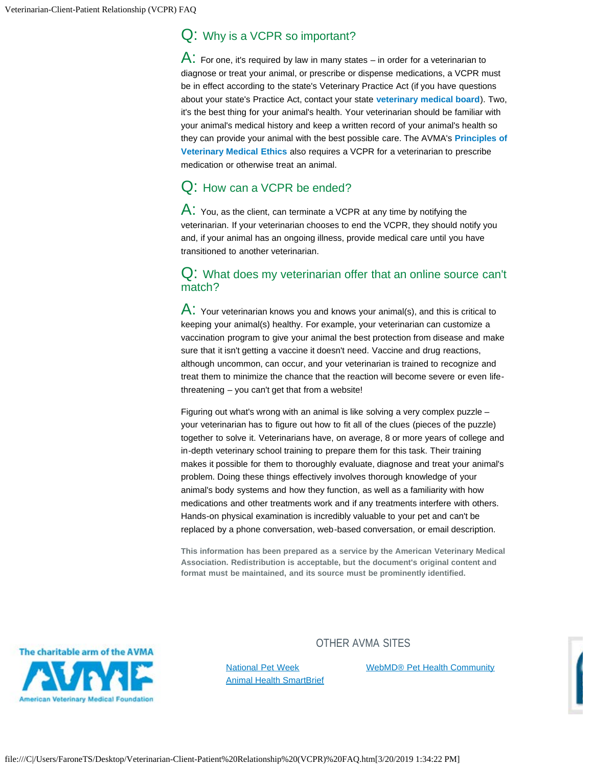#### Q: Why is a VCPR so important?

 $\mathsf{A}$ : For one, it's required by law in many states – in order for a veterinarian to diagnose or treat your animal, or prescribe or dispense medications, a VCPR must be in effect according to the state's Veterinary Practice Act (if you have questions about your state's Practice Act, contact your state **[veterinary medical board](https://www.avma.org/Advocacy/StateAndLocal/Resources/Pages/State-Legislative-Resources.aspx)**). Two, it's the best thing for your animal's health. Your veterinarian should be familiar with your animal's medical history and keep a written record of your animal's health so they can provide your animal with the best possible care. The AVMA's **[Principles of](https://www.avma.org/KB/Policies/Pages/Principles-of-Veterinary-Medical-Ethics-of-the-AVMA.aspx#III) [Veterinary Medical Ethics](https://www.avma.org/KB/Policies/Pages/Principles-of-Veterinary-Medical-Ethics-of-the-AVMA.aspx#III)** also requires a VCPR for a veterinarian to prescribe medication or otherwise treat an animal.

### Q: How can a VCPR be ended?

 $\mathsf{A}$ : You, as the client, can terminate a VCPR at any time by notifying the veterinarian. If your veterinarian chooses to end the VCPR, they should notify you and, if your animal has an ongoing illness, provide medical care until you have transitioned to another veterinarian.

#### Q: What does my veterinarian offer that an online source can't match?

 $A:$  Your veterinarian knows you and knows your animal(s), and this is critical to keeping your animal(s) healthy. For example, your veterinarian can customize a vaccination program to give your animal the best protection from disease and make sure that it isn't getting a vaccine it doesn't need. Vaccine and drug reactions, although uncommon, can occur, and your veterinarian is trained to recognize and treat them to minimize the chance that the reaction will become severe or even lifethreatening – you can't get that from a website!

Figuring out what's wrong with an animal is like solving a very complex puzzle – your veterinarian has to figure out how to fit all of the clues (pieces of the puzzle) together to solve it. Veterinarians have, on average, 8 or more years of college and in-depth veterinary school training to prepare them for this task. Their training makes it possible for them to thoroughly evaluate, diagnose and treat your animal's problem. Doing these things effectively involves thorough knowledge of your animal's body systems and how they function, as well as a familiarity with how medications and other treatments work and if any treatments interfere with others. Hands-on physical examination is incredibly valuable to your pet and can't be replaced by a phone conversation, web-based conversation, or email description.

**This information has been prepared as a service by the American Veterinary Medical Association. Redistribution is acceptable, but the document's original content and format must be maintained, and its source must be prominently identified.**



#### OTHER AVMA SITES

[National Pet Week](http://www.petweek.org/) [Animal Health SmartBrief](https://www.smartbrief.com/avma/index.jsp?campaign=avmafooter) [WebMD® Pet Health Community](http://exchanges.webmd.com/pet-health-exchange)